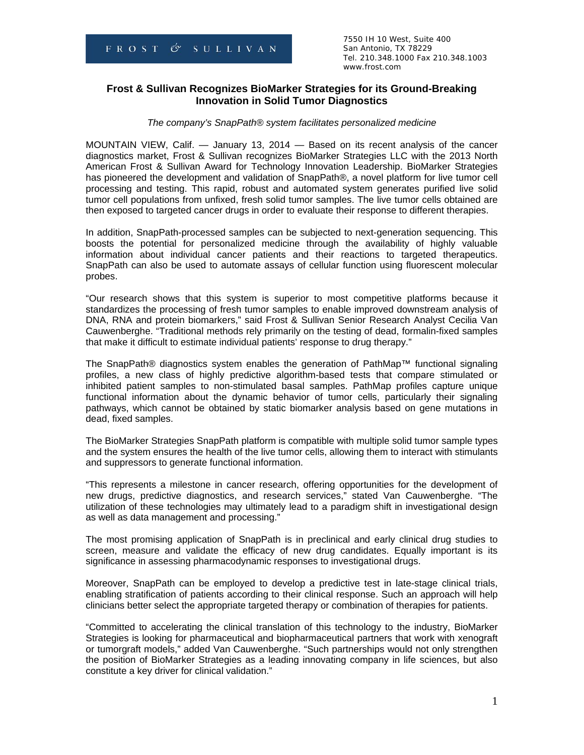7550 IH 10 West, Suite 400 Tel. 210.348.1000 Fax 210.348.1003 www.frost.com

## **Frost & Sullivan Recognizes BioMarker Strategies for its Ground-Breaking Innovation in Solid Tumor Diagnostics**

#### *The company's SnapPath® system facilitates personalized medicine*

MOUNTAIN VIEW, Calif. — January 13, 2014 — Based on its recent analysis of the cancer diagnostics market, Frost & Sullivan recognizes BioMarker Strategies LLC with the 2013 North American Frost & Sullivan Award for Technology Innovation Leadership. BioMarker Strategies has pioneered the development and validation of SnapPath®, a novel platform for live tumor cell processing and testing. This rapid, robust and automated system generates purified live solid tumor cell populations from unfixed, fresh solid tumor samples. The live tumor cells obtained are then exposed to targeted cancer drugs in order to evaluate their response to different therapies.

In addition, SnapPath-processed samples can be subjected to next-generation sequencing. This boosts the potential for personalized medicine through the availability of highly valuable information about individual cancer patients and their reactions to targeted therapeutics. SnapPath can also be used to automate assays of cellular function using fluorescent molecular probes.

"Our research shows that this system is superior to most competitive platforms because it standardizes the processing of fresh tumor samples to enable improved downstream analysis of DNA, RNA and protein biomarkers," said Frost & Sullivan Senior Research Analyst Cecilia Van Cauwenberghe. "Traditional methods rely primarily on the testing of dead, formalin-fixed samples that make it difficult to estimate individual patients' response to drug therapy."

The SnapPath® diagnostics system enables the generation of PathMap™ functional signaling profiles, a new class of highly predictive algorithm-based tests that compare stimulated or inhibited patient samples to non-stimulated basal samples. PathMap profiles capture unique functional information about the dynamic behavior of tumor cells, particularly their signaling pathways, which cannot be obtained by static biomarker analysis based on gene mutations in dead, fixed samples.

The BioMarker Strategies SnapPath platform is compatible with multiple solid tumor sample types and the system ensures the health of the live tumor cells, allowing them to interact with stimulants and suppressors to generate functional information.

"This represents a milestone in cancer research, offering opportunities for the development of new drugs, predictive diagnostics, and research services," stated Van Cauwenberghe. "The utilization of these technologies may ultimately lead to a paradigm shift in investigational design as well as data management and processing."

The most promising application of SnapPath is in preclinical and early clinical drug studies to screen, measure and validate the efficacy of new drug candidates. Equally important is its significance in assessing pharmacodynamic responses to investigational drugs.

Moreover, SnapPath can be employed to develop a predictive test in late-stage clinical trials, enabling stratification of patients according to their clinical response. Such an approach will help clinicians better select the appropriate targeted therapy or combination of therapies for patients.

"Committed to accelerating the clinical translation of this technology to the industry, BioMarker Strategies is looking for pharmaceutical and biopharmaceutical partners that work with xenograft or tumorgraft models," added Van Cauwenberghe. "Such partnerships would not only strengthen the position of BioMarker Strategies as a leading innovating company in life sciences, but also constitute a key driver for clinical validation."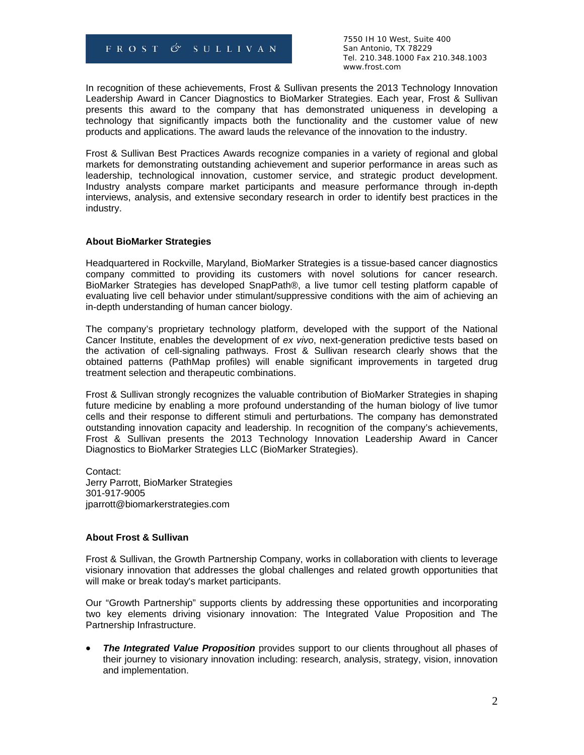FROST  $\circ$  SULLIVAN

 7550 IH 10 West, Suite 400 Tel. 210.348.1000 Fax 210.348.1003 www.frost.com

In recognition of these achievements, Frost & Sullivan presents the 2013 Technology Innovation Leadership Award in Cancer Diagnostics to BioMarker Strategies. Each year, Frost & Sullivan presents this award to the company that has demonstrated uniqueness in developing a technology that significantly impacts both the functionality and the customer value of new products and applications. The award lauds the relevance of the innovation to the industry.

Frost & Sullivan Best Practices Awards recognize companies in a variety of regional and global markets for demonstrating outstanding achievement and superior performance in areas such as leadership, technological innovation, customer service, and strategic product development. Industry analysts compare market participants and measure performance through in-depth interviews, analysis, and extensive secondary research in order to identify best practices in the industry.

### **About BioMarker Strategies**

Headquartered in Rockville, Maryland, BioMarker Strategies is a tissue-based cancer diagnostics company committed to providing its customers with novel solutions for cancer research. BioMarker Strategies has developed SnapPath®, a live tumor cell testing platform capable of evaluating live cell behavior under stimulant/suppressive conditions with the aim of achieving an in-depth understanding of human cancer biology.

The company's proprietary technology platform, developed with the support of the National Cancer Institute, enables the development of *ex vivo*, next-generation predictive tests based on the activation of cell-signaling pathways. Frost & Sullivan research clearly shows that the obtained patterns (PathMap profiles) will enable significant improvements in targeted drug treatment selection and therapeutic combinations.

Frost & Sullivan strongly recognizes the valuable contribution of BioMarker Strategies in shaping future medicine by enabling a more profound understanding of the human biology of live tumor cells and their response to different stimuli and perturbations. The company has demonstrated outstanding innovation capacity and leadership. In recognition of the company's achievements, Frost & Sullivan presents the 2013 Technology Innovation Leadership Award in Cancer Diagnostics to BioMarker Strategies LLC (BioMarker Strategies).

Contact: Jerry Parrott, BioMarker Strategies 301-917-9005 jparrott@biomarkerstrategies.com

### **About Frost & Sullivan**

Frost & Sullivan, the Growth Partnership Company, works in collaboration with clients to leverage visionary innovation that addresses the global challenges and related growth opportunities that will make or break today's market participants.

Our "Growth Partnership" supports clients by addressing these opportunities and incorporating two key elements driving visionary innovation: The Integrated Value Proposition and The Partnership Infrastructure.

 *The Integrated Value Proposition* provides support to our clients throughout all phases of their journey to visionary innovation including: research, analysis, strategy, vision, innovation and implementation.